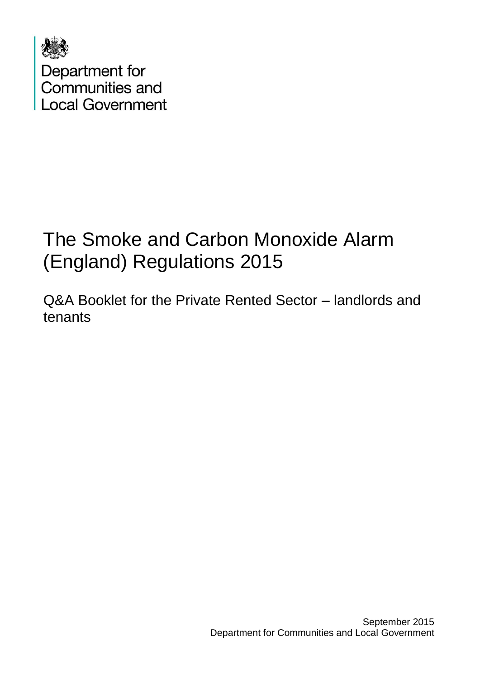

# The Smoke and Carbon Monoxide Alarm (England) Regulations 2015

Q&A Booklet for the Private Rented Sector – landlords and tenants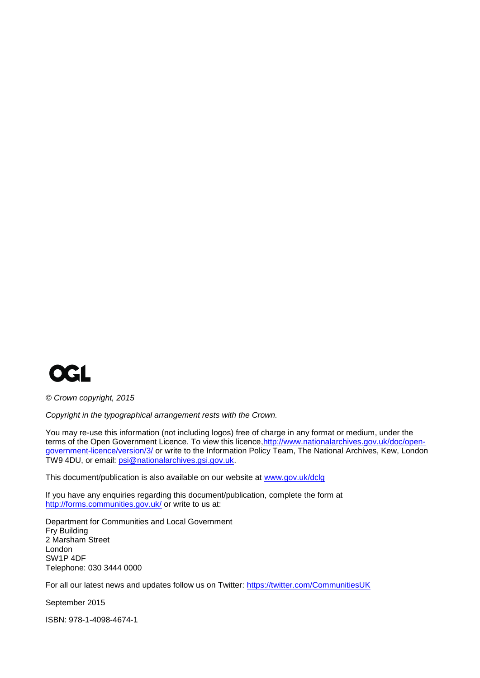

*© Crown copyright, 2015*

*Copyright in the typographical arrangement rests with the Crown.*

You may re-use this information (not including logos) free of charge in any format or medium, under the terms of the Open Government Licence. To view this licence, http://www.nationalarchives.gov.uk/doc/open[government-licence/version/3/](http://www.nationalarchives.gov.uk/doc/open-government-licence/version/3/) or write to the Information Policy Team, The National Archives, Kew, London TW9 4DU, or email: [psi@nationalarchives.gsi.gov.uk.](mailto:psi@nationalarchives.gsi.gov.uk)

This document/publication is also available on our website at [www.gov.uk/dclg](http://www.gov.uk/dclg)

If you have any enquiries regarding this document/publication, complete the form at <http://forms.communities.gov.uk/> or write to us at:

Department for Communities and Local Government Fry Building 2 Marsham Street London SW1P 4DF Telephone: 030 3444 0000

For all our latest news and updates follow us on Twitter:<https://twitter.com/CommunitiesUK>

September 2015

ISBN: 978-1-4098-4674-1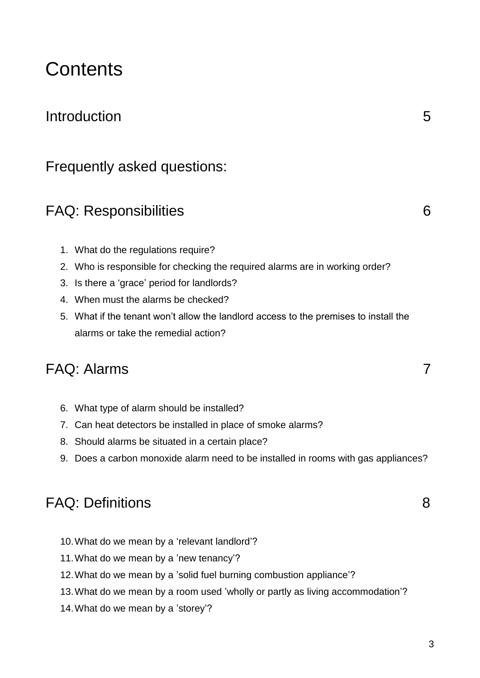## **Contents**

#### Introduction 5

#### Frequently asked questions:

### FAQ: Responsibilities 6

- 1. What do the regulations require?
- 2. Who is responsible for checking the required alarms are in working order?
- 3. Is there a 'grace' period for landlords?
- 4. When must the alarms be checked?
- 5. What if the tenant won't allow the landlord access to the premises to install the alarms or take the remedial action?

#### FAQ: Alarms 7

- 6. What type of alarm should be installed?
- 7. Can heat detectors be installed in place of smoke alarms?
- 8. Should alarms be situated in a certain place?
- 9. Does a carbon monoxide alarm need to be installed in rooms with gas appliances?

#### FAQ: Definitions 8

- 10.What do we mean by a 'relevant landlord'?
- 11.What do we mean by a 'new tenancy'?
- 12.What do we mean by a 'solid fuel burning combustion appliance'?
- 13.What do we mean by a room used 'wholly or partly as living accommodation'?
- 14.What do we mean by a 'storey'?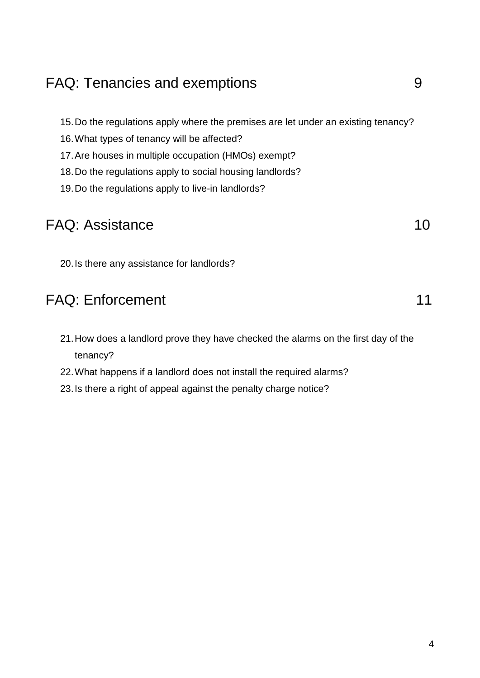## FAQ: Tenancies and exemptions and  $\sim$  9

15.Do the regulations apply where the premises are let under an existing tenancy?

- 16.What types of tenancy will be affected?
- 17.Are houses in multiple occupation (HMOs) exempt?
- 18.Do the regulations apply to social housing landlords?
- 19.Do the regulations apply to live-in landlords?

## FAQ: Assistance 10

20.Is there any assistance for landlords?

## FAQ: Enforcement 11

- 21.How does a landlord prove they have checked the alarms on the first day of the tenancy?
- 22.What happens if a landlord does not install the required alarms?
- 23.Is there a right of appeal against the penalty charge notice?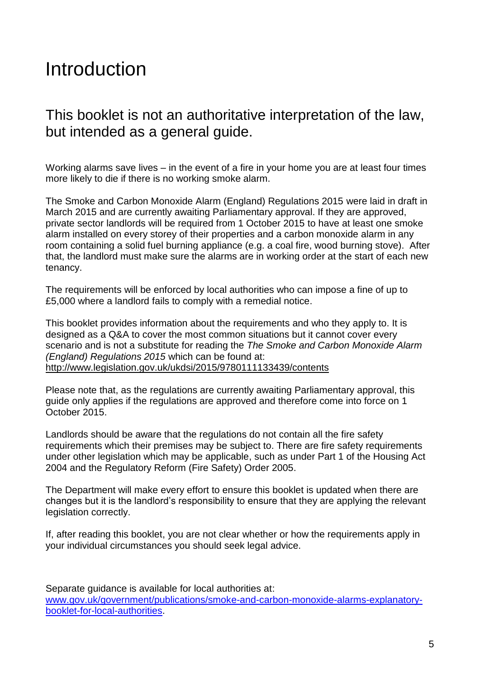## Introduction

#### This booklet is not an authoritative interpretation of the law, but intended as a general guide.

Working alarms save lives – in the event of a fire in your home you are at least four times more likely to die if there is no working smoke alarm.

The Smoke and Carbon Monoxide Alarm (England) Regulations 2015 were laid in draft in March 2015 and are currently awaiting Parliamentary approval. If they are approved, private sector landlords will be required from 1 October 2015 to have at least one smoke alarm installed on every storey of their properties and a carbon monoxide alarm in any room containing a solid fuel burning appliance (e.g. a coal fire, wood burning stove). After that, the landlord must make sure the alarms are in working order at the start of each new tenancy.

The requirements will be enforced by local authorities who can impose a fine of up to £5,000 where a landlord fails to comply with a remedial notice.

This booklet provides information about the requirements and who they apply to. It is designed as a Q&A to cover the most common situations but it cannot cover every scenario and is not a substitute for reading the *The Smoke and Carbon Monoxide Alarm (England) Regulations 2015* which can be found at: <http://www.legislation.gov.uk/ukdsi/2015/9780111133439/contents>

Please note that, as the regulations are currently awaiting Parliamentary approval, this guide only applies if the regulations are approved and therefore come into force on 1 October 2015.

Landlords should be aware that the regulations do not contain all the fire safety requirements which their premises may be subject to. There are fire safety requirements under other legislation which may be applicable, such as under Part 1 of the Housing Act 2004 and the Regulatory Reform (Fire Safety) Order 2005.

The Department will make every effort to ensure this booklet is updated when there are changes but it is the landlord's responsibility to ensure that they are applying the relevant legislation correctly.

If, after reading this booklet, you are not clear whether or how the requirements apply in your individual circumstances you should seek legal advice.

Separate guidance is available for local authorities at: [www.gov.uk/government/publications/smoke-and-carbon-monoxide-alarms-explanatory](http://www.gov.uk/government/publications/smoke-and-carbon-monoxide-alarms-explanatory-booklet-for-local-authorities)[booklet-for-local-authorities.](http://www.gov.uk/government/publications/smoke-and-carbon-monoxide-alarms-explanatory-booklet-for-local-authorities)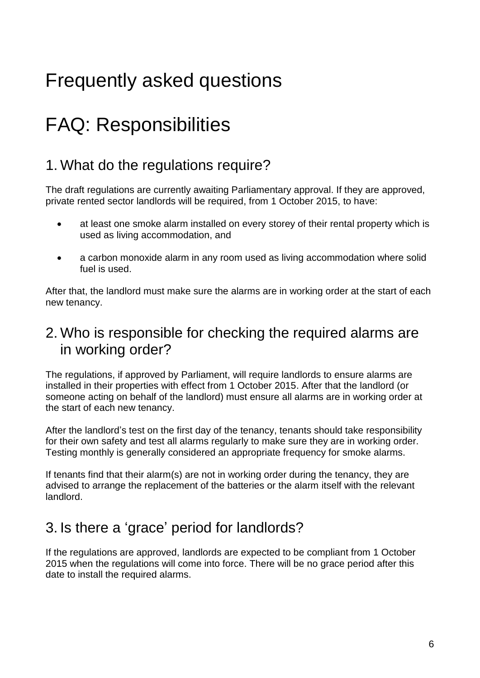# Frequently asked questions

# FAQ: Responsibilities

### 1. What do the regulations require?

The draft regulations are currently awaiting Parliamentary approval. If they are approved, private rented sector landlords will be required, from 1 October 2015, to have:

- at least one smoke alarm installed on every storey of their rental property which is used as living accommodation, and
- a carbon monoxide alarm in any room used as living accommodation where solid fuel is used.

After that, the landlord must make sure the alarms are in working order at the start of each new tenancy.

#### 2. Who is responsible for checking the required alarms are in working order?

The regulations, if approved by Parliament, will require landlords to ensure alarms are installed in their properties with effect from 1 October 2015. After that the landlord (or someone acting on behalf of the landlord) must ensure all alarms are in working order at the start of each new tenancy.

After the landlord's test on the first day of the tenancy, tenants should take responsibility for their own safety and test all alarms regularly to make sure they are in working order. Testing monthly is generally considered an appropriate frequency for smoke alarms.

If tenants find that their alarm(s) are not in working order during the tenancy, they are advised to arrange the replacement of the batteries or the alarm itself with the relevant landlord.

## 3. Is there a 'grace' period for landlords?

If the regulations are approved, landlords are expected to be compliant from 1 October 2015 when the regulations will come into force. There will be no grace period after this date to install the required alarms.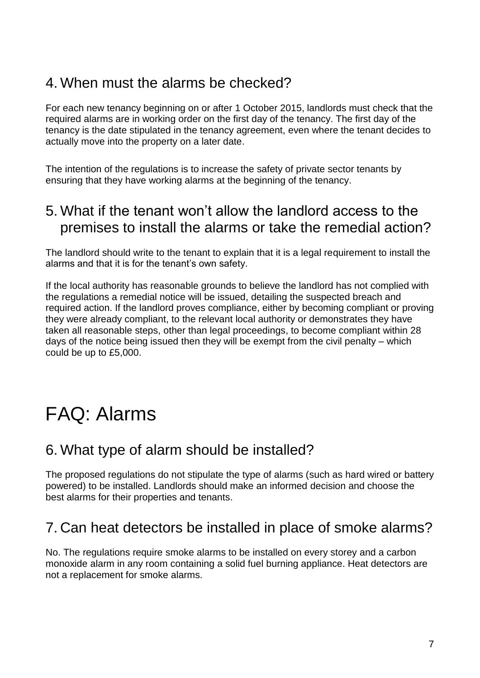### 4. When must the alarms be checked?

For each new tenancy beginning on or after 1 October 2015, landlords must check that the required alarms are in working order on the first day of the tenancy. The first day of the tenancy is the date stipulated in the tenancy agreement, even where the tenant decides to actually move into the property on a later date.

The intention of the regulations is to increase the safety of private sector tenants by ensuring that they have working alarms at the beginning of the tenancy.

#### 5. What if the tenant won't allow the landlord access to the premises to install the alarms or take the remedial action?

The landlord should write to the tenant to explain that it is a legal requirement to install the alarms and that it is for the tenant's own safety.

If the local authority has reasonable grounds to believe the landlord has not complied with the regulations a remedial notice will be issued, detailing the suspected breach and required action. If the landlord proves compliance, either by becoming compliant or proving they were already compliant, to the relevant local authority or demonstrates they have taken all reasonable steps, other than legal proceedings, to become compliant within 28 days of the notice being issued then they will be exempt from the civil penalty – which could be up to £5,000.

## FAQ: Alarms

#### 6. What type of alarm should be installed?

The proposed regulations do not stipulate the type of alarms (such as hard wired or battery powered) to be installed. Landlords should make an informed decision and choose the best alarms for their properties and tenants.

## 7. Can heat detectors be installed in place of smoke alarms?

No. The regulations require smoke alarms to be installed on every storey and a carbon monoxide alarm in any room containing a solid fuel burning appliance. Heat detectors are not a replacement for smoke alarms.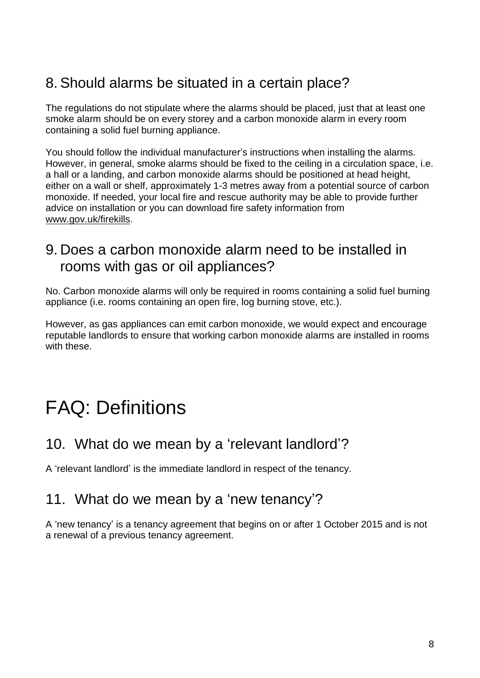## 8. Should alarms be situated in a certain place?

The regulations do not stipulate where the alarms should be placed, just that at least one smoke alarm should be on every storey and a carbon monoxide alarm in every room containing a solid fuel burning appliance.

You should follow the individual manufacturer's instructions when installing the alarms. However, in general, smoke alarms should be fixed to the ceiling in a circulation space, i.e. a hall or a landing, and carbon monoxide alarms should be positioned at head height, either on a wall or shelf, approximately 1-3 metres away from a potential source of carbon monoxide. If needed, your local fire and rescue authority may be able to provide further advice on installation or you can download fire safety information from [www.gov.uk/firekills.](https://www.gov.uk/firekills)

#### 9. Does a carbon monoxide alarm need to be installed in rooms with gas or oil appliances?

No. Carbon monoxide alarms will only be required in rooms containing a solid fuel burning appliance (i.e. rooms containing an open fire, log burning stove, etc.).

However, as gas appliances can emit carbon monoxide, we would expect and encourage reputable landlords to ensure that working carbon monoxide alarms are installed in rooms with these.

# FAQ: Definitions

#### 10. What do we mean by a 'relevant landlord'?

A 'relevant landlord' is the immediate landlord in respect of the tenancy.

#### 11. What do we mean by a 'new tenancy'?

A 'new tenancy' is a tenancy agreement that begins on or after 1 October 2015 and is not a renewal of a previous tenancy agreement.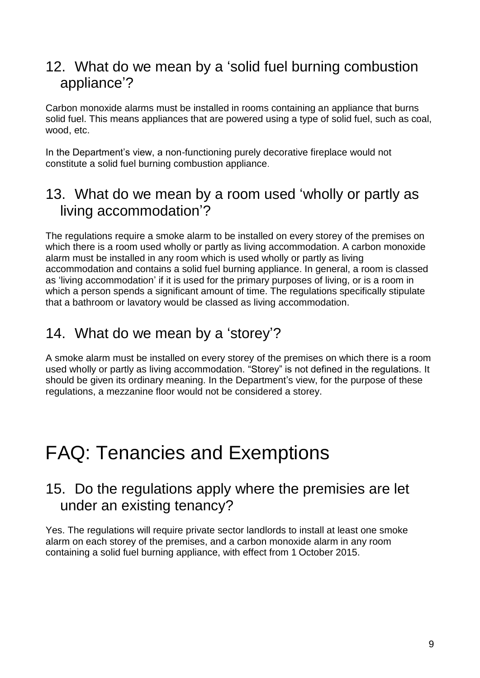#### 12. What do we mean by a 'solid fuel burning combustion appliance'?

Carbon monoxide alarms must be installed in rooms containing an appliance that burns solid fuel. This means appliances that are powered using a type of solid fuel, such as coal, wood, etc.

In the Department's view, a non-functioning purely decorative fireplace would not constitute a solid fuel burning combustion appliance.

#### 13. What do we mean by a room used 'wholly or partly as living accommodation'?

The regulations require a smoke alarm to be installed on every storey of the premises on which there is a room used wholly or partly as living accommodation. A carbon monoxide alarm must be installed in any room which is used wholly or partly as living accommodation and contains a solid fuel burning appliance. In general, a room is classed as 'living accommodation' if it is used for the primary purposes of living, or is a room in which a person spends a significant amount of time. The regulations specifically stipulate that a bathroom or lavatory would be classed as living accommodation.

#### 14. What do we mean by a 'storey'?

A smoke alarm must be installed on every storey of the premises on which there is a room used wholly or partly as living accommodation. "Storey" is not defined in the regulations. It should be given its ordinary meaning. In the Department's view, for the purpose of these regulations, a mezzanine floor would not be considered a storey.

## FAQ: Tenancies and Exemptions

#### 15. Do the regulations apply where the premisies are let under an existing tenancy?

Yes. The regulations will require private sector landlords to install at least one smoke alarm on each storey of the premises, and a carbon monoxide alarm in any room containing a solid fuel burning appliance, with effect from 1 October 2015.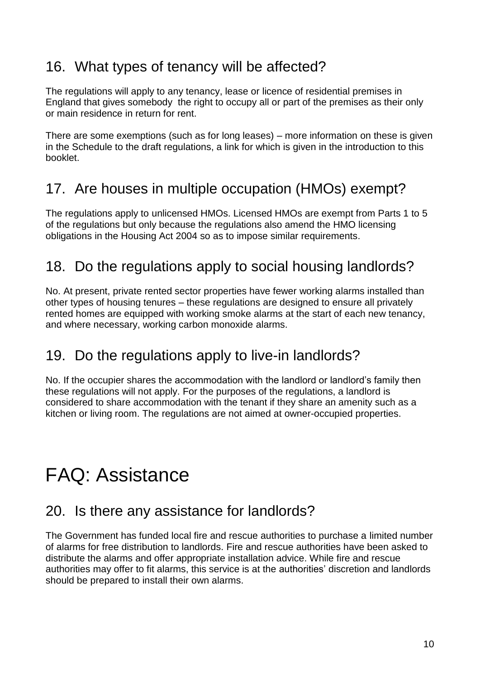## 16. What types of tenancy will be affected?

The regulations will apply to any tenancy, lease or licence of residential premises in England that gives somebody the right to occupy all or part of the premises as their only or main residence in return for rent.

There are some exemptions (such as for long leases) – more information on these is given in the Schedule to the draft regulations, a link for which is given in the introduction to this booklet.

## 17. Are houses in multiple occupation (HMOs) exempt?

The regulations apply to unlicensed HMOs. Licensed HMOs are exempt from Parts 1 to 5 of the regulations but only because the regulations also amend the HMO licensing obligations in the Housing Act 2004 so as to impose similar requirements.

## 18. Do the regulations apply to social housing landlords?

No. At present, private rented sector properties have fewer working alarms installed than other types of housing tenures – these regulations are designed to ensure all privately rented homes are equipped with working smoke alarms at the start of each new tenancy, and where necessary, working carbon monoxide alarms.

#### 19. Do the regulations apply to live-in landlords?

No. If the occupier shares the accommodation with the landlord or landlord's family then these regulations will not apply. For the purposes of the regulations, a landlord is considered to share accommodation with the tenant if they share an amenity such as a kitchen or living room. The regulations are not aimed at owner-occupied properties.

# FAQ: Assistance

#### 20. Is there any assistance for landlords?

The Government has funded local fire and rescue authorities to purchase a limited number of alarms for free distribution to landlords. Fire and rescue authorities have been asked to distribute the alarms and offer appropriate installation advice. While fire and rescue authorities may offer to fit alarms, this service is at the authorities' discretion and landlords should be prepared to install their own alarms.